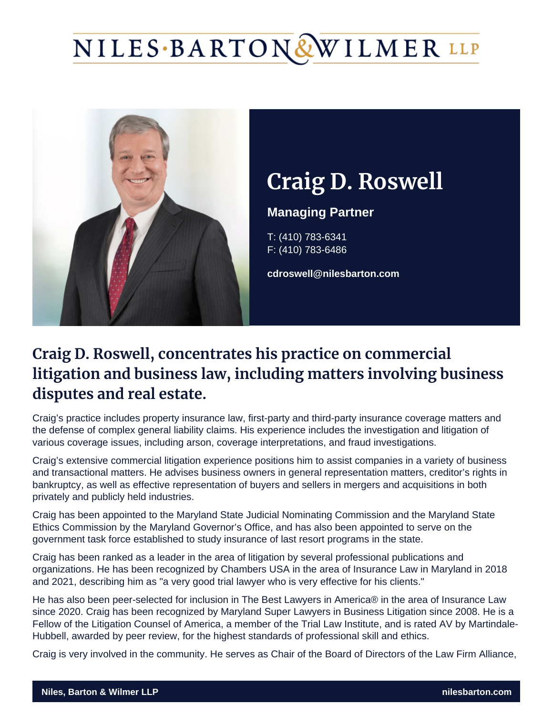# Craig D. Roswel

Managing Partner

T: (410) 783-6341 F: (410) 783-6486

cdroswell@nilesbarton.com

# Craig D. Roswell, concentrates his practice on cor litigation and business law, including matters invo disputes and real estate.

Craig's practice includes property insurance law, first-party and third-party insurance coverage matters and the defense of complex general liability claims. His experience includes the investigation and litigation of various coverage issues, including arson, coverage interpretations, and fraud investigations.

Craig's extensive commercial litigation experience positions him to assist companies in a variety of business and transactional matters. He advises business owners in general representation matters, creditor's rights in bankruptcy, as well as effective representation of buyers and sellers in mergers and acquisitions in both privately and publicly held industries.

Craig has been appointed to the [Maryland State Judicial Nominating Commission](https://mdcourts.gov/judgeselect/judicialvacancy) and the [Maryland State](https://ethics.maryland.gov/)  [Ethics Commission](https://ethics.maryland.gov/) by the Maryland Governor's Office, and has also been appointed to serve on the government task force established to study insurance of last resort programs in the state.

Craig has been ranked as a leader in the area of litigation by several professional publications and organizations. He has been recognized by Chambers USA in the area of Insurance Law in Maryland in 2018 and 2021, describing him as "a very good trial lawyer who is very effective for his clients."

He has also been peer-selected for inclusion in The Best Lawyers in America® in the area of Insurance Law since 2020. Craig has been recognized by Maryland Super Lawyers in Business Litigation since 2008. He is a Fellow of the [Litigation Counsel of America](http://www.litcounsel.org/), a member of the Trial Law Institute, and is rated AV by Martindale-Hubbell, awarded by peer review, for the highest standards of professional skill and ethics.

Craig is very involved in the community. He serves as Chair of the Board of Directors of the [Law Firm Alliance](http://www.lawfirmalliance.org/),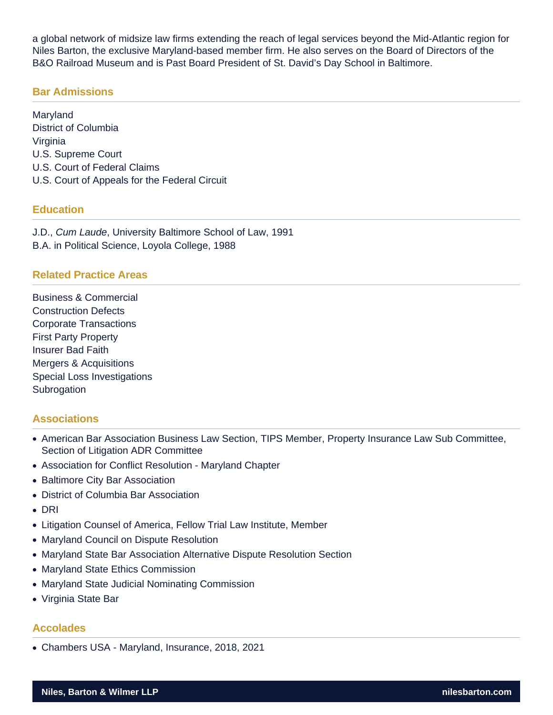a global network of midsize law firms extending the reach of legal services beyond the Mid-Atlantic region for Niles Barton, the exclusive Maryland-based member firm. He also serves on the Board of Directors of the B&O Railroad Museum and is Past Board President of St. David's Day School in Baltimore.

#### **Bar Admissions**

Maryland District of Columbia Virginia U.S. Supreme Court U.S. Court of Federal Claims U.S. Court of Appeals for the Federal Circuit

#### **Education**

J.D., Cum Laude, University Baltimore School of Law, 1991 B.A. in Political Science, Loyola College, 1988

#### **Related Practice Areas**

Business & Commercial Construction Defects Corporate Transactions First Party Property Insurer Bad Faith Mergers & Acquisitions Special Loss Investigations **Subrogation** 

## **Associations**

- American Bar Association Business Law Section, TIPS Member, Property Insurance Law Sub Committee, Section of Litigation ADR Committee
- Association for Conflict Resolution Maryland Chapter
- Baltimore City Bar Association
- District of Columbia Bar Association
- DRI
- Litigation Counsel of America, Fellow Trial Law Institute, Member
- Maryland Council on Dispute Resolution
- Maryland State Bar Association Alternative Dispute Resolution Section
- Maryland State Ethics Commission
- Maryland State Judicial Nominating Commission
- Virginia State Bar

#### **Accolades**

Chambers USA - Maryland, Insurance, 2018, 2021